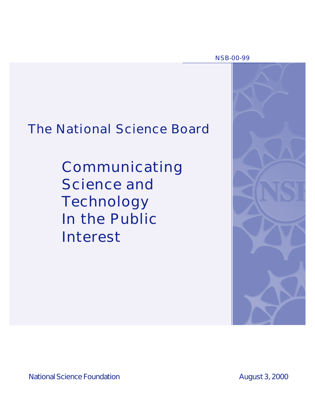NSB-00-99

# The National Science Board

Communicating Science and Technology In the Public Interest



National Science Foundation **August 3, 2000**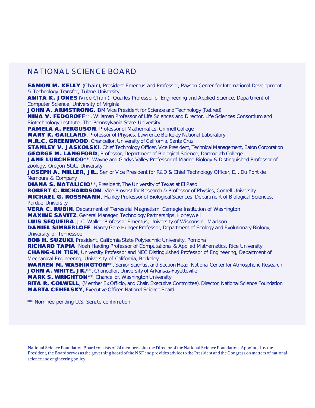# NATIONAL SCIENCE BOARD

**EAMON M. KELLY** (*Chair*), President Emeritus and Professor, Payson Center for International Development & Technology Transfer, Tulane University

**ANITA K. JONES** (*Vice Chair*), Quarles Professor of Engineering and Applied Science, Department of Computer Science, University of Virginia

**JOHN A. ARMSTRONG**, IBM Vice President for Science and Technology (Retired)

**NINA V. FEDOROFF**\*\*, Willaman Professor of Life Sciences and Director, Life Sciences Consortium and Biotechnology Institute, The Pennsylvania State University

**PAMELA A. FERGUSON**, Professor of Mathematics, Grinnell College

**MARY K. GAILLARD**, Professor of Physics, Lawrence Berkeley National Laboratory

**M.R.C. GREENWOOD**, Chancellor, University of California, Santa Cruz

**STANLEY V. JASKOLSKI**, Chief Technology Officer, Vice President, Technical Management, Eaton Corporation **GEORGE M. LANGFORD**, Professor, Department of Biological Science, Dartmouth College

**JANE LUBCHENCO**<sup>\*\*</sup>, Wayne and Gladys Valley Professor of Marine Biology & Distinguished Professor of Zoology, Oregon State University

**JOSEPH A. MILLER, JR.**, Senior Vice President for R&D & Chief Technology Officer, E.I. Du Pont de Nemours & Company

**DIANA S. NATALICIO**<sup>\*\*</sup>, President, The University of Texas at El Paso

**ROBERT C. RICHARDSON**, Vice Provost for Research & Professor of Physics, Cornell University **MICHAEL G. ROSSMANN**, Hanley Professor of Biological Sciences, Department of Biological Sciences, Purdue University

**VERA C. RUBIN**, Department of Terrestrial Magnetism, Carnegie Institution of Washington **MAXINE SAVITZ**, General Manager, Technology Partnerships, Honeywell

**LUIS SEQUEIRA**, J.C. Walker Professor Emeritus, University of Wisconsin - Madison

**DANIEL SIMBERLOFF**, Nancy Gore Hunger Professor, Department of Ecology and Evolutionary Biology, University of Tennessee

**BOB H. SUZUKI**, President, California State Polytechnic University, Pomona

**RICHARD TAPIA**, Noah Harding Professor of Computational & Applied Mathematics, Rice University **CHANG-LIN TIEN**, University Professor and NEC Distinguished Professor of Engineering, Department of Mechanical Engineering, University of California, Berkeley

**WARREN M. WASHINGTON**\*\*, Senior Scientist and Section Head, National Center for Atmospheric Research **JOHN A. WHITE, JR.**\*\*, Chancellor, University of Arkansas-Fayetteville

**MARK S. WRIGHTON**\*\*, Chancellor, Washington University

**RITA R. COLWELL**, (Member *Ex Officio*, and Chair, Executive Committee), Director, National Science Foundation **MARTA CEHELSKY**, Executive Officer, National Science Board

\*\* Nominee pending U.S. Senate confirmation

National Science Foundation Board consists of 24 members plus the Director of the National Science Foundation. Appointed by the President, the Board serves as the governing board of the NSF and provides advice to the President and the Congress on matters of national science and engineering policy.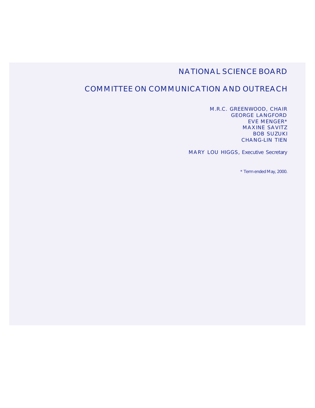# NATIONAL SCIENCE BOARD

# COMMITTEE ON COMMUNICATION AND OUTREACH

M.R.C. GREENWOOD, CHAIR GEORGE LANGFORD EVE MENGER\* MAXINE SAVITZ BOB SUZUKI CHANG-LIN TIEN

MARY LOU HIGGS, Executive Secretary

\* Term ended May, 2000.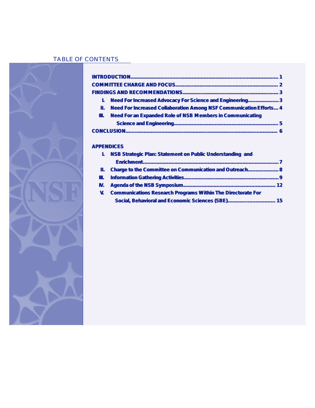# TABLE OF CONTENTS



| L            | <b>Need For Increased Advocacy For Science and Engineering3</b>                       |
|--------------|---------------------------------------------------------------------------------------|
| Ш.           | <b>Need For Increased Collaboration Among NSF Communication Efforts 4</b>             |
| Ш.           | <b>Need For an Expanded Role of NSB Members in Communicating</b>                      |
|              |                                                                                       |
|              |                                                                                       |
| L            | <b>APPENDICES</b><br><b>NSB Strategic Plan: Statement on Public Understanding and</b> |
|              |                                                                                       |
| 11.          | Charge to the Committee on Communication and Outreach 8                               |
| Ш.           |                                                                                       |
| IV.          |                                                                                       |
| $\mathbf{V}$ | <b>Communications Research Programs Within The Directorate For</b>                    |
|              | Social, Behavioral and Economic Sciences (SBE) 15                                     |
|              |                                                                                       |
|              |                                                                                       |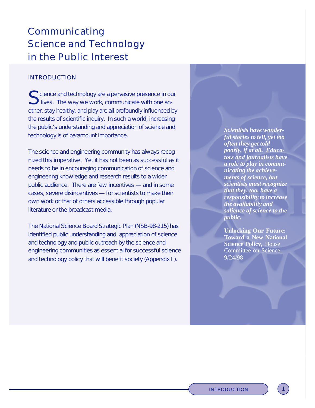# Communicating in the Public Interest Science and Technology

# INTRODUCTION

S cience and technology are a pervasive presence in our<br>S lives. The way we work, communicate with one anlives. The way we work, communicate with one another, stay healthy, and play are all profoundly influenced by the results of scientific inquiry. In such a world, increasing the public's understanding and appreciation of science and technology is of paramount importance.

The science and engineering community has always recognized this imperative. Yet it has not been as successful as it needs to be in encouraging communication of science and engineering knowledge and research results to a wider public audience. There are few incentives — and in some cases, severe disincentives — for scientists to make their own work or that of others accessible through popular literature or the broadcast media.

The National Science Board Strategic Plan (NSB-98-215) has identified public understanding and appreciation of science and technology and public outreach by the science and engineering communities as essential for successful science and technology policy that will benefit society (Appendix I ).

*Scientists have wonderful stories to tell, yet too often they get told poorly, if at all. Educators and journalists have a role to play in communicating the achievements of science, but scientists must recognize that they, too, have a responsibility to increase the availability and salience of science to the public.*

**Unlocking Our Future: Toward a New National Science Policy,** House Committee on Science, 9/24/98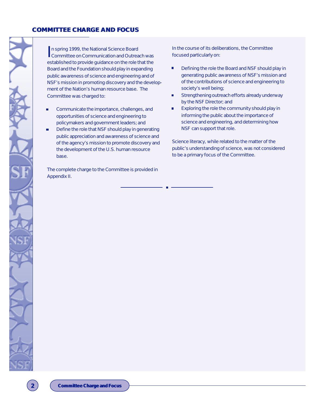## **COMMITTEE CHARGE AND FOCUS**

In spring 1999, the National Science Board<br>Committee on Communication and Outreach was n spring 1999, the National Science Board established to provide guidance on the role that the Board and the Foundation should play in expanding public awareness of science and engineering and of NSF's mission in promoting discovery and the development of the Nation's human resource base. The Committee was charged to:

- Communicate the importance, challenges, and n opportunities of science and engineering to policymakers and government leaders; and
- Define the role that NSF should play in generating public appreciation and awareness of science and of the agency's mission to promote discovery and the development of the U.S. human resource base.

The complete charge to the Committee is provided in Appendix II.

In the course of its deliberations, the Committee focused particularly on:

- Defining the role the Board and NSF should play in generating public awareness of NSF's mission and of the contributions of science and engineering to society's well being;
- Strengthening outreach efforts already underway  $\blacksquare$ by the NSF Director; and
- Exploring the role the community should play in  $\blacksquare$ informing the public about the importance of science and engineering, and determining how NSF can support that role.

Science literacy, while related to the matter of the public's understanding of science, was not considered to be a primary focus of the Committee.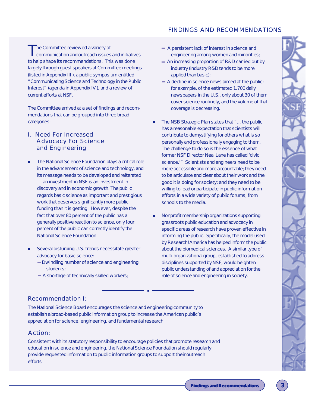# FINDINGS AND RECOMMENDATIONS

The Committee reviewed a variety of<br>communication and outreach issues communication and outreach issues and initiatives to help shape its recommendations. This was done largely through guest speakers at Committee meetings (listed in Appendix III ), a public symposium entitled "Communicating Science and Technology in the Public Interest" (agenda in Appendix IV ), and a review of current efforts at NSF.

The Committee arrived at a set of findings and recommendations that can be grouped into three broad categories:

# I. Need For Increased Advocacy For Science and Engineering

- The National Science Foundation plays a critical role in the advancement of science and technology, and its message needs to be developed and reiterated — an investment in NSF is an investment in discovery and in economic growth. The public regards basic science as important and prestigious work that deserves significantly more public funding than it is getting. However, despite the fact that over 80 percent of the public has a generally positive reaction to science, only four percent of the public can correctly identify the National Science Foundation.
- Several disturbing U.S. trends necessitate greater advocacy for basic science:
	- Dwindling number of science and engineering students;
	- A shortage of technically skilled workers;
- A persistent lack of interest in science and engineering among women and minorities;
- An increasing proportion of R&D carried out by industry (industry R&D tends to be more applied than basic);
- A decline in science news aimed at the public: for example, of the estimated 1,700 daily newspapers in the U.S., only about 30 of them cover science routinely, and the volume of that coverage is decreasing.
- The NSB Strategic Plan states that "... the public has a reasonable expectation that scientists will contribute to demystifying for others what is so personally and professionally engaging to them. The challenge to do so is the essence of what former NSF Director Neal Lane has called 'civic science.'" Scientists and engineers need to be more accessible and more accountable; they need to be articulate and clear about their work and the good it is doing for society; and they need to be willing to lead or participate in public information efforts in a wide variety of public forums, from schools to the media.

 $\blacksquare$ 

Nonprofit membership organizations supporting  $\blacksquare$ grassroots public education and advocacy in specific areas of research have proven effective in informing the public. Specifically, the model used by Research!America has helped inform the public about the biomedical sciences. A similar type of multi-organizational group, established to address disciplines supported by NSF, would heighten public understanding of and appreciation for the role of science and engineering in society.

# Recommendation I:

The National Science Board encourages the science and engineering community to establish a broad-based public information group to increase the American public's appreciation for science, engineering, and fundamental research.

# *Action:*

*Consistent with its statutory responsibility to encourage policies that promote research and education in science and engineering, the National Science Foundation should regularly provide requested information to public information groups to support their outreach efforts.*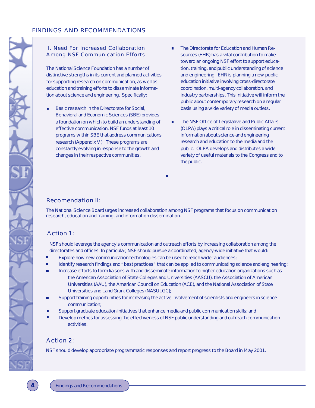## II. Need For Increased Collaboration Among NSF Communication Efforts

The National Science Foundation has a number of distinctive strengths in its current and planned activities for supporting research on communication, as well as education and training efforts to disseminate information about science and engineering. Specifically:

- Basic research in the Directorate for Social, Behavioral and Economic Sciences (SBE) provides a foundation on which to build an understanding of effective communication. NSF funds at least 10 programs within SBE that address communications research (Appendix V ). These programs are constantly evolving in response to the growth and changes in their respective communities.
- The Directorate for Education and Human Resources (EHR) has a vital contribution to make toward an ongoing NSF effort to support education, training, and public understanding of science and engineering. EHR is planning a new public education initiative involving cross-directorate coordination, multi-agency collaboration, and industry partnerships. This initiative will inform the public about contemporary research on a regular basis using a wide variety of media outlets.
- The NSF Office of Legislative and Public Affairs (OLPA) plays a critical role in disseminating current information about science and engineering research and education to the media and the public. OLPA develops and distributes a wide variety of useful materials to the Congress and to the public.

# Recomendation II:

The National Science Board urges increased collaboration among NSF programs that focus on communication research, education and training, and information dissemination.

# *Action 1:*

*NSF should leverage the agency's communication and outreach efforts by increasing collaboration among the directorates and offices. In particular, NSF should pursue a coordinated, agency-wide initiative that would:*

- *Explore how new communication technologies can be used to reach wider audiences;*
- *Identify research findings and "best practices" that can be applied to communicating science and engineering;*
- *Increase efforts to form liaisons with and disseminate information to higher education organizations such as the American Association of State Colleges and Universities (AASCU), the Association of American Universities (AAU), the American Council on Education (ACE), and the National Association of State Universities and Land Grant Colleges (NASULGC);*
- *Support training opportunities for increasing the active involvement of scientists and engineers in science communication;*
- *Support graduate education initiatives that enhance media and public communication skills; and*
- *Develop metrics for assessing the effectiveness of NSF public understanding and outreach communication activities.*

# *Action 2:*

*NSF should develop appropriate programmatic responses and report progress to the Board in May 2001.*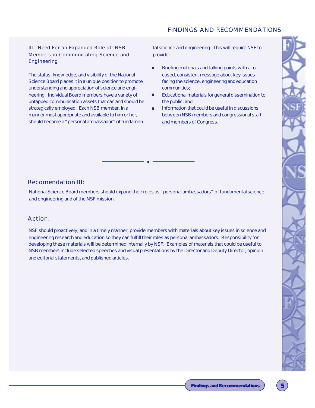### III. Need For an Expanded Role of NSB Members in Communicating Science and Engineering

The status, knowledge, and visibility of the National Science Board places it in a unique position to promote understanding and appreciation of science and engineering. Individual Board members have a variety of untapped communication assets that can and should be strategically employed. Each NSB member, in a manner most appropriate and available to him or her, should become a "personal ambassador" of fundamen-

tal science and engineering. This will require NSF to provide:

- Ē Briefing materials and talking points with a focused, consistent message about key issues facing the science, engineering and education communities;
- n Educational materials for general dissemination to the public; and
- Information that could be useful in discussions m. between NSB members and congressional staff and members of Congress.

# Recomendation III:

National Science Board members should expand their roles as "personal ambassadors" of fundamental science and engineering and of the NSF mission.

# *Action:*

*NSF should proactively, and in a timely manner, provide members with materials about key issues in science and engineering research and education so they can fulfill their roles as personal ambassadors. Responsibility for developing these materials will be determined internally by NSF. Examples of materials that could be useful to NSB members include selected speeches and visual presentations by the Director and Deputy Director, opinion and editorial statements, and published articles.*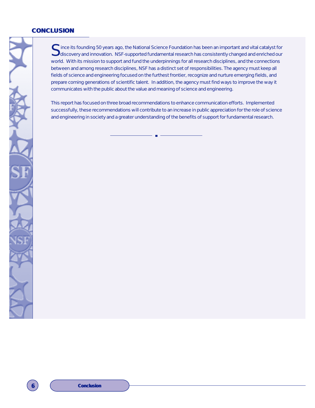#### **CONCLUSION**

Since its founding 50 years ago, the National Science Foundation has been an important and vital catalyst for<br>Suiscovery and innovation. NSF-supported fundamental research has consistently changed and enriched our  $\bigcup$ discovery and innovation. NSF-supported fundamental research has consistently changed and enriched our world. With its mission to support and fund the underpinnings for all research disciplines, and the connections between and among research disciplines, NSF has a distinct set of responsibilities. The agency must keep all fields of science and engineering focused on the furthest frontier, recognize and nurture emerging fields, and prepare coming generations of scientific talent. In addition, the agency must find ways to improve the way it communicates with the public about the value and meaning of science and engineering.

This report has focused on three broad recommendations to enhance communication efforts. Implemented successfully, these recommendations will contribute to an increase in public appreciation for the role of science and engineering in society and a greater understanding of the benefits of support for fundamental research.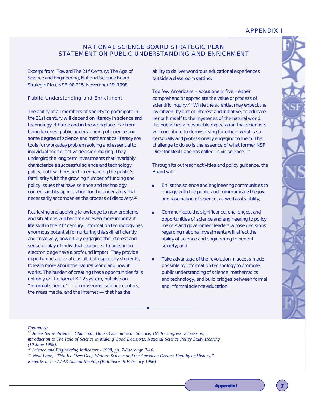# APPENDIX I

# NATIONAL SCIENCE BOARD STRATEGIC PLAN STATEMENT ON PUBLIC UNDERSTANDING AND ENRICHMENT

Excerpt from: *Toward The 21st Century: The Age of Science and Engineering, National Science Board Strategic Plan,* NSB-98-215, November 19, 1998.

#### Public Understanding and Enrichment

The ability of all members of society to participate in the 21st century will depend on literacy in science and technology at home and in the workplace. Far from being luxuries, public understanding of science and some degree of science and mathematics literacy are tools for workaday problem solving and essential to individual and collective decision-making. They undergird the long term investments that invariably characterize a successful science and technology policy, both with respect to enhancing the public's familiarity with the growing number of funding and policy issues that have science and technology content and its appreciation for the uncertainty that necessarily accompanies the process of discovery. <sup>27</sup>

Retrieving and applying knowledge to new problems and situations will become an even more important life skill in the 21<sup>st</sup> century. Information technology has enormous potential for nurturing this skill efficiently and creatively, powerfully engaging the interest and sense of play of individual explorers. Images in an electronic age have a profound impact. They provide opportunities to excite us all, but especially students, to learn more about the natural world and how it works. The burden of creating these opportunities falls not only on the formal K-12 system, but also on "informal science" — on museums, science centers, the mass media, and the Internet — that has the

ability to deliver wondrous educational experiences outside a classroom setting.

Too few Americans – about one in five – either comprehend or appreciate the value or process of scientific inquiry.<sup>28</sup> While the scientist may expect the lay citizen, by dint of interest and initiative, to educate her or himself to the mysteries of the natural world, the public has a reasonable expectation that scientists will contribute to demystifying for others what is so personally and professionally engaging to them. The challenge to do so is the essence of what former NSF Director Neal Lane has called "civic science."<sup>29</sup>

Through its outreach activities and policy guidance, the Board will:

- Enlist the science and engineering communities to  $\blacksquare$ engage with the public and communicate the joy and fascination of science, as well as its utility;
- Communicate the significance, challenges, and ò opportunities of science and engineering to policy makers and government leaders whose decisions regarding national investments will affect the ability of science and engineering to benefit society; and
- Take advantage of the revolution in access made  $\blacksquare$ possible by information technology to promote public understanding of science, mathematics, and technology, and build bridges between formal and informal science education.

*Footnotes:*

*<sup>27</sup> James Sensenbrenner, Chairman, House Committee on Science, 105th Congress, 2d session, introduction to The Role of Science in Making Good Decisions, National Science Policy Study Hearing (10 June 1998).*

*<sup>28</sup> Science and Engineering Indicators - 1998, pp. 7-8 through 7-10.*

*<sup>29</sup>Neal Lane, "Thin Ice Over Deep Waters: Science and the American Dream: Healthy or History," Remarks at the AAAS Annual Meeting (Baltimore: 9 February 1996).*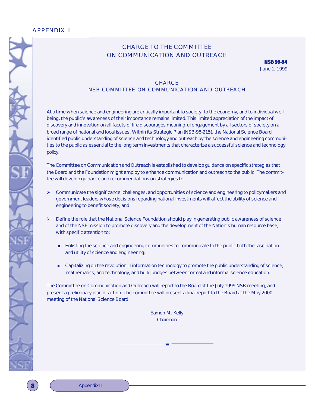# APPENDIX II

# CHARGE TO THE COMMITTEE ON COMMUNICATION AND OUTREACH

**NSB 99-94** June 1, 1999

# **CHARGE** NSB COMMITTEE ON COMMUNICATION AND OUTREACH

At a time when science and engineering are critically important to society, to the economy, and to individual wellbeing, the public's awareness of their importance remains limited. This limited appreciation of the impact of discovery and innovation on all facets of life discourages meaningful engagement by all sectors of society on a broad range of national and local issues. Within its Strategic Plan (NSB-98-215), the National Science Board identified public understanding of science and technology and outreach by the science and engineering communities to the public as essential to the long term investments that characterize a successful science and technology policy.

The Committee on Communication and Outreach is established to develop guidance on specific strategies that the Board and the Foundation might employ to enhance communication and outreach to the public. The committee will develop guidance and recommendations on strategies to:

- $\triangleright$  Communicate the significance, challenges, and opportunities of science and engineering to policymakers and government leaders whose decisions regarding national investments will affect the ability of science and engineering to benefit society; and
- $\triangleright$  Define the role that the National Science Foundation should play in generating public awareness of science and of the NSF mission to promote discovery and the development of the Nation's human resource base, with specific attention to:
	- **Enlisting the science and engineering communities to communicate to the public both the fascination** and utility of science and engineering:
	- **EXECT** Capitalizing on the revolution in information technology to promote the public understanding of science, mathematics, and technology, and build bridges between formal and informal science education.

The Committee on Communication and Outreach will report to the Board at the July 1999 NSB meeting, and present a preliminary plan of action. The committee will present a final report to the Board at the May 2000 meeting of the National Science Board.

> Eamon M. Kelly Chairman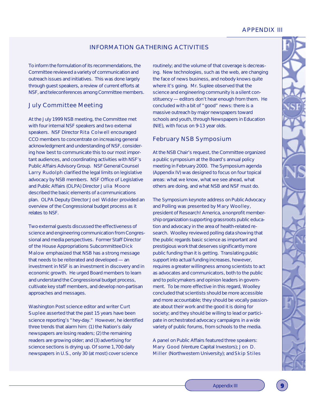# APPENDIX III

# INFORMATION GATHERING ACTIVITIES

To inform the formulation of its recommendations, the Committee reviewed a variety of communication and outreach issues and initiatives. This was done largely through guest speakers, a review of current efforts at NSF, and teleconferences among Committee members.

## July Committee Meeting

At the July 1999 NSB meeting, the Committee met with four internal NSF speakers and two external speakers. NSF Director Rita Colwell encouraged CCO members to concentrate on increasing general acknowledgment and understanding of NSF, considering how best to communicate this to our most important audiences, and coordinating activities with NSF's Public Affairs Advisory Group. NSF General Counsel Larry Rudolph clarified the legal limits on legislative advocacy by NSB members. NSF Office of Legislative and Public Affairs (OLPA) Director Julia Moore described the basic elements of a communications plan. OLPA Deputy Director Joel Widder provided an overview of the Congressional budget process as it relates to NSF.

Two external guests discussed the effectiveness of science and engineering communication from Congressional and media perspectives. Former Staff Director of the House Appropriations Subcommittee Dick Malow emphasized that NSB has a strong message that needs to be reiterated and developed — an investment in NSF is an investment in discovery and in economic growth. He urged Board members to learn and understand the Congressional budget process, cultivate key staff members, and develop non-partisan approaches and messages.

Washington Post science editor and writer Curt Suplee asserted that the past 15 years have been science reporting's "hey-day." However, he identified three trends that alarm him: (1) the Nation's daily newspapers are losing readers; (2) the remaining readers are growing older; and (3) advertising for science sections is drying up. Of some 1,700 daily newspapers in U.S., only 30 (at most) cover science

routinely; and the volume of that coverage is decreasing. New technologies, such as the web, are changing the face of news business, and nobody knows quite where it's going. Mr. Suplee observed that the science and engineering community is a silent constituency — editors don't hear enough from them. He concluded with a bit of "good" news: there is a massive outreach by major newspapers toward schools and youth, through Newspapers in Education (NIE), with focus on 9-13 year olds.

# February NSB Symposium

At the NSB Chair's request, the Committee organized a public symposium at the Board's annual policy meeting in February 2000. The Symposium agenda (Appendix IV) was designed to focus on four topical areas: what we know, what we see ahead, what others are doing, and what NSB and NSF must do.

The Symposium keynote address on *Public Advocacy and Polling* was presented by Mary Woolley, president of Research! America, a nonprofit membership organization supporting grassroots public education and advocacy in the area of health-related research. Woolley reviewed polling data showing that the public regards basic science as important and prestigious work that deserves significantly more public funding than it is getting. Translating public support into actual funding increases, however, requires a greater willingness among scientists to act as advocates and communicators, both to the public and to policymakers and opinion leaders in government. To be more effective in this regard, Woolley concluded that scientists should be more accessible and more accountable; they should be vocally passionate about their work and the good it is doing for society; and they should be willing to lead or participate in orchestrated advocacy campaigns in a wide variety of public forums, from schools to the media.

A panel on *Public Affairs* featured three speakers: Mary Good (Venture Capital Investors); Jon D. Miller (Northwestern University); and Skip Stiles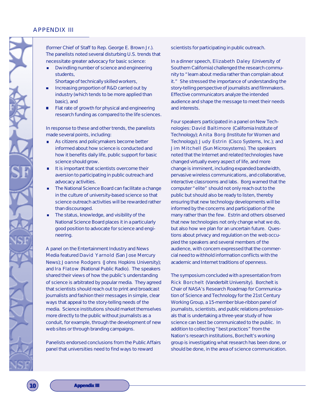# APPENDIX III

(former Chief of Staff to Rep. George E. Brown Jr.). The panelists noted several disturbing U.S. trends that necessitate greater advocacy for basic science:

Dwindling number of science and engineering  $\blacksquare$ students,

Shortage of technically skilled workers,

- Increasing proportion of R&D carried out by industry (which tends to be more applied than basic), and
- Flat rate of growth for physical and engineering П research funding as compared to the life sciences.

In response to these and other trends, the panelists made several points, including:

- As citizens and policymakers become better informed about how science is conducted and how it benefits daily life, public support for basic science should grow.
- It is important that scientists overcome their aversion to participating in public outreach and advocacy activities.
- The National Science Board can facilitate a change in the culture of university-based science so that science outreach activities will be rewarded rather than discouraged.
- The status, knowledge, and visibility of the National Science Board places it in a particularly good position to advocate for science and engineering.

A panel on the *Entertainment Industry and News Media* featured David Yarnold (*San Jose Mercury News*); Joanne Rodgers (Johns Hopkins University); and Ira Flatow (National Public Radio). The speakers shared their views of how the public's understanding of science is arbitrated by popular media. They agreed that scientists should reach out to print and broadcast journalists and fashion their messages in simple, clear ways that appeal to the story-telling needs of the media. Science institutions should market themselves more directly to the public without journalists as a conduit, for example, through the development of new web sites or through branding campaigns.

Panelists endorsed conclusions from the Public Affairs panel that universities need to find ways to reward

scientists for participating in public outreach.

In a dinner speech, Elizabeth Daley (University of Southern California) challenged the research community to "learn about media rather than complain about it." She stressed the importance of understanding the story-telling perspective of journalists and filmmakers. Effective communicators analyze the intended audience and shape the message to meet their needs and interests.

Four speakers participated in a panel on *New Technologies*: David Baltimore (California Institute of Technology); Anita Borg (Institute for Women and Technology); Judy Estrin (Cisco Systems, Inc.); and Jim Mitchell (Sun Microsystems). The speakers noted that the Internet and related technologies have changed virtually every aspect of life, and more change is imminent, including expanded bandwidth, pervasive wireless communications, and collaborative, interactive classrooms and labs. Borg warned that the computer "elite" should not only reach out to the public but should also be ready to listen, thereby ensuring that new technology developments will be informed by the concerns and participation of the many rather than the few. Estrin and others observed that new technologies not only change what we do, but also how we plan for an uncertain future. Questions about privacy and regulation on the web occupied the speakers and several members of the audience, with concern expressed that the commercial need to withhold information conflicts with the academic and Internet traditions of openness.

The symposium concluded with a presentation from Rick Borchelt (Vanderbilt University). Borchelt is Chair of NASA's Research Roadmap for Communication of Science and Technology for the 21st Century Working Group, a 15-member blue-ribbon panel of journalists, scientists, and public relations professionals that is undertaking a three-year study of how science can best be communicated to the public. In addition to collecting "best practices" from the Nation's research institutions, Borchelt's working group is investigating what research has been done, or should be done, in the area of science communication.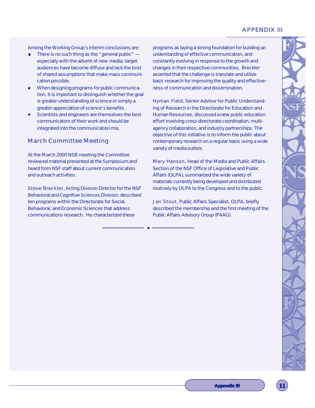# APPENDIX III

Among the Working Group's interim conclusions are:

- There is no such thing as the "general public" especially with the advent of new media, target audiences have become diffuse and lack the kind of shared assumptions that make mass communication possible.
- When designing programs for public communicam, tion, it is important to distinguish whether the goal is greater understanding of science or simply a greater appreciation of science's benefits.
- Scientists and engineers are themselves the best communicators of their work and should be integrated into the communication mix.

# March Committee Meeting

At the March 2000 NSB meeting the Committee reviewed material presented at the Symposium and heard from NSF staff about current communication and outreach activities.

Steve Breckler, Acting Division Director for the NSF Behavioral and Cognitive Sciences Division, described ten programs within the Directorate for Social, Behavioral, and Economic Sciences that address communications research. He characterized these

programs as laying a strong foundation for building an understanding of effective communication, and constantly evolving in response to the growth and changes in their respective communities. Breckler asserted that the challenge is translate and utilize basic research for improving the quality and effectiveness of communication and dissemination.

Hyman Field, Senior Advisor for Public Understanding of Research in the Directorate for Education and Human Resources, discussed a new public education effort involving cross-directorate coordination, multiagency collaboration, and industry partnerships. The objective of this initiative is to inform the public about contemporary research on a regular basis using a wide variety of media outlets.

Mary Hanson, Head of the Media and Public Affairs Section of the NSF Office of Legislative and Public Affairs (OLPA), summarized the wide variety of materials currently being developed and distributed routinely by OLPA to the Congress and to the public.

Jan Stout, Public Affairs Specialist, OLPA, briefly described the membership and the first meeting of the Public Affairs Advisory Group (PAAG).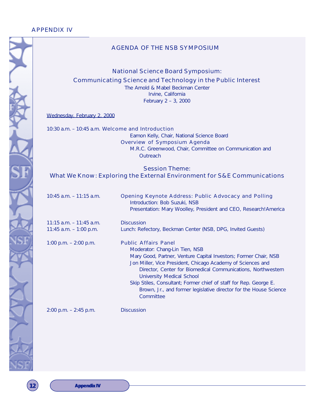# AGENDA OF THE NSB SYMPOSIUM

*National Science Board Symposium:*

*Communicating Science and Technology in the Public Interest*

The Arnold & Mabel Beckman Center Irvine, California February 2 – 3, 2000

Wednesday, February 2, 2000

10:30 a.m. – 10:45 a.m. *Welcome and Introduction* Eamon Kelly, Chair, National Science Board *Overview of Symposium Agenda* M.R.C. Greenwood, Chair, Committee on Communication and **Outreach** 

*Session Theme: What We Know: Exploring the External Environment for S&E Communications*

| $10:45$ a.m. $-11:15$ a.m.                             | Opening Keynote Address: Public Advocacy and Polling<br>Introduction: Bob Suzuki, NSB<br>Presentation: Mary Woolley, President and CEO, Research! America                                                                                                                                                                                                                                                                                            |
|--------------------------------------------------------|------------------------------------------------------------------------------------------------------------------------------------------------------------------------------------------------------------------------------------------------------------------------------------------------------------------------------------------------------------------------------------------------------------------------------------------------------|
| $11:15$ a.m. $-11:45$ a.m.<br>11:45 $a.m. - 1:00$ p.m. | <b>Discussion</b><br>Lunch: Refectory, Beckman Center (NSB, DPG, Invited Guests)                                                                                                                                                                                                                                                                                                                                                                     |
| 1:00 p.m. $-$ 2:00 p.m.                                | <b>Public Affairs Panel</b><br>Moderator: Chang-Lin Tien, NSB<br>Mary Good, Partner, Venture Capital Investors; Former Chair, NSB<br>Jon Miller, Vice President, Chicago Academy of Sciences and<br>Director, Center for Biomedical Communications, Northwestern<br>University Medical School<br>Skip Stiles, Consultant; Former chief of staff for Rep. George E.<br>Brown, Jr., and former legislative director for the House Science<br>Committee |

2:00 p.m. – 2:45 p.m. *Discussion*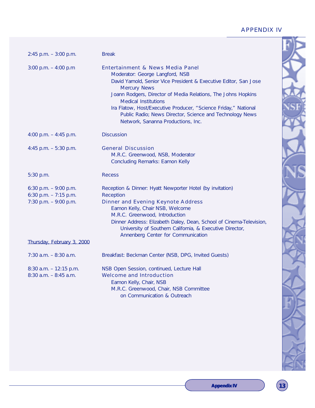# APPENDIX IV

| $2:45$ p.m. $-3:00$ p.m.                                                   | <b>Break</b>                                                                                                                                                                                                                                                                                                                                                                                                                         |
|----------------------------------------------------------------------------|--------------------------------------------------------------------------------------------------------------------------------------------------------------------------------------------------------------------------------------------------------------------------------------------------------------------------------------------------------------------------------------------------------------------------------------|
| 3:00 p.m. $-$ 4:00 p.m                                                     | Entertainment & News Media Panel<br>Moderator: George Langford, NSB<br>David Yarnold, Senior Vice President & Executive Editor, San Jose<br><b>Mercury News</b><br>Joann Rodgers, Director of Media Relations, The Johns Hopkins<br><b>Medical Institutions</b><br>Ira Flatow, Host/Executive Producer, "Science Friday," National<br>Public Radio; News Director, Science and Technology News<br>Network, Sananna Productions, Inc. |
| 4:00 p.m. $-$ 4:45 p.m.                                                    | <b>Discussion</b>                                                                                                                                                                                                                                                                                                                                                                                                                    |
| 4:45 p.m. $-5:30$ p.m.                                                     | <b>General Discussion</b><br>M.R.C. Greenwood, NSB, Moderator<br><b>Concluding Remarks: Eamon Kelly</b>                                                                                                                                                                                                                                                                                                                              |
| 5:30 p.m.                                                                  | Recess                                                                                                                                                                                                                                                                                                                                                                                                                               |
| 6:30 p.m. $-9:00$ p.m.<br>6:30 p.m. $-7:15$ p.m.<br>7:30 p.m. $-9:00$ p.m. | Reception & Dinner: Hyatt Newporter Hotel (by invitation)<br><b>Reception</b><br><b>Dinner and Evening Keynote Address</b><br>Eamon Kelly, Chair NSB, Welcome<br>M.R.C. Greenwood, Introduction<br>Dinner Address: Elizabeth Daley, Dean, School of Cinema-Television,<br>University of Southern California, & Executive Director,<br>Annenberg Center for Communication                                                             |
| Thursday, February 3, 2000                                                 |                                                                                                                                                                                                                                                                                                                                                                                                                                      |
| $7:30$ a.m. $-8:30$ a.m.                                                   | Breakfast: Beckman Center (NSB, DPG, Invited Guests)                                                                                                                                                                                                                                                                                                                                                                                 |
| $8:30$ a.m. $-12:15$ p.m.<br>$8:30$ a.m. $-8:45$ a.m.                      | NSB Open Session, continued, Lecture Hall<br><b>Welcome and Introduction</b><br>Eamon Kelly, Chair, NSB<br>M.R.C. Greenwood, Chair, NSB Committee<br>on Communication & Outreach                                                                                                                                                                                                                                                     |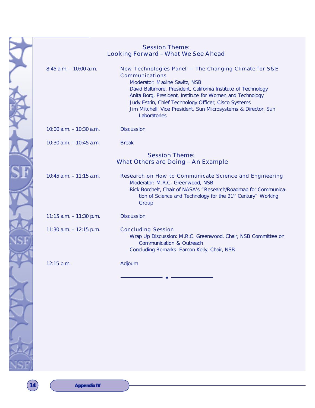|                            | <b>Session Theme:</b><br><b>Looking Forward - What We See Ahead</b>                                                                                                                                                                                                                                                                                                               |
|----------------------------|-----------------------------------------------------------------------------------------------------------------------------------------------------------------------------------------------------------------------------------------------------------------------------------------------------------------------------------------------------------------------------------|
| $8:45$ a.m. $-10:00$ a.m.  | New Technologies Panel - The Changing Climate for S&E<br>Communications<br>Moderator: Maxine Savitz, NSB<br>David Baltimore, President, California Institute of Technology<br>Anita Borg, President, Institute for Women and Technology<br>Judy Estrin, Chief Technology Officer, Cisco Systems<br>Jim Mitchell, Vice President, Sun Microsystems & Director, Sun<br>Laboratories |
| 10:00 a.m. - 10:30 a.m.    | <b>Discussion</b>                                                                                                                                                                                                                                                                                                                                                                 |
| 10:30 a.m. – 10:45 a.m.    | <b>Break</b>                                                                                                                                                                                                                                                                                                                                                                      |
|                            | <b>Session Theme:</b><br>What Others are Doing - An Example                                                                                                                                                                                                                                                                                                                       |
| $10:45$ a.m. $-11:15$ a.m. | Research on How to Communicate Science and Engineering<br>Moderator: M.R.C. Greenwood, NSB<br>Rick Borchelt, Chair of NASA's "Research/Roadmap for Communica-<br>tion of Science and Technology for the 21 <sup>st</sup> Century" Working<br>Group                                                                                                                                |
| 11:15 $a.m. - 11:30$ p.m.  | <b>Discussion</b>                                                                                                                                                                                                                                                                                                                                                                 |
| 11:30 a.m. $-$ 12:15 p.m.  | <b>Concluding Session</b><br>Wrap Up Discussion: M.R.C. Greenwood, Chair, NSB Committee on<br><b>Communication &amp; Outreach</b><br>Concluding Remarks: Eamon Kelly, Chair, NSB                                                                                                                                                                                                  |
|                            |                                                                                                                                                                                                                                                                                                                                                                                   |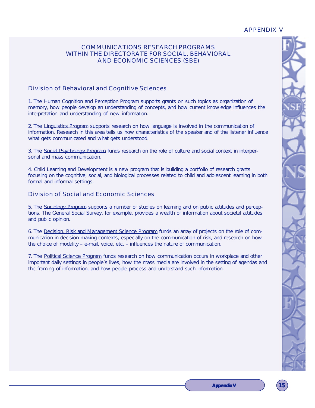# APPENDIX V

# COMMUNICATIONS RESEARCH PROGRAMS WITHIN THE DIRECTORATE FOR SOCIAL, BEHAVIORAL AND ECONOMIC SCIENCES (SBE)

# Division of Behavioral and Cognitive Sciences

1. The Human Cognition and Perception Program supports grants on such topics as organization of memory, how people develop an understanding of concepts, and how current knowledge influences the interpretation and understanding of new information.

2. The Linguistics Program supports research on how language is involved in the communication of information. Research in this area tells us how characteristics of the speaker and of the listener influence what gets communicated and what gets understood.

3. The Social Psychology Program funds research on the role of culture and social context in interpersonal and mass communication.

4. Child Learning and Development is a new program that is building a portfolio of research grants focusing on the cognitive, social, and biological processes related to child and adolescent learning in both formal and informal settings.

# Division of Social and Economic Sciences

5. The Sociology Program supports a number of studies on learning and on public attitudes and perceptions. The General Social Survey, for example, provides a wealth of information about societal attitudes and public opinion.

6. The Decision, Risk and Management Science Program funds an array of projects on the role of communication in decision making contexts, especially on the communication of risk, and research on how the choice of modality – e-mail, voice, etc. – influences the nature of communication.

7. The Political Science Program funds research on how communication occurs in workplace and other important daily settings in people's lives, how the mass media are involved in the setting of agendas and the framing of information, and how people process and understand such information.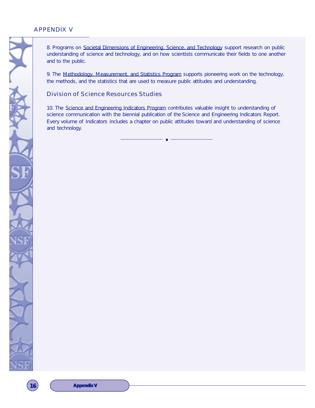# APPENDIX V

8. Programs on Societal Dimensions of Engineering, Science, and Technology support research on public understanding of science and technology, and on how scientists communicate their fields to one another and to the public.

9. The Methodology, Measurement, and Statistics Program supports pioneering work on the technology, the methods, and the statistics that are used to measure public attitudes and understanding.

# Division of Science Resources Studies

10. The Science and Engineering Indicators Program contributes valuable insight to understanding of science communication with the biennial publication of the *Science and Engineering Indicators Report.* Every volume of *Indicators* includes a chapter on public attitudes toward and understanding of science and technology.